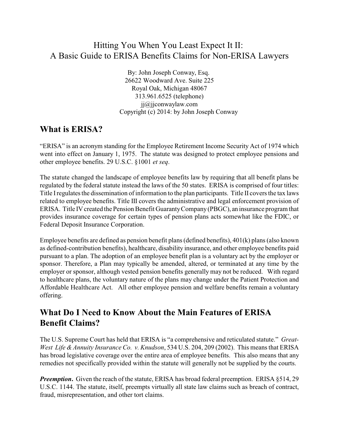## Hitting You When You Least Expect It II: A Basic Guide to ERISA Benefits Claims for Non-ERISA Lawyers

By: John Joseph Conway, Esq. 26622 Woodward Ave. Suite 225 Royal Oak, Michigan 48067 313.961.6525 (telephone) jj@jjconwaylaw.com Copyright (c) 2014: by John Joseph Conway

### **What is ERISA?**

"ERISA" is an acronym standing for the Employee Retirement Income Security Act of 1974 which went into effect on January 1, 1975. The statute was designed to protect employee pensions and other employee benefits. 29 U.S.C. §1001 *et seq*.

The statute changed the landscape of employee benefits law by requiring that all benefit plans be regulated by the federal statute instead the laws of the 50 states. ERISA is comprised of four titles: Title Iregulates the dissemination of information to the plan participants. Title II covers the tax laws related to employee benefits. Title III covers the administrative and legal enforcement provision of ERISA. Title IV created the Pension Benefit GuarantyCompany(PBGC), an insurance program that provides insurance coverage for certain types of pension plans acts somewhat like the FDIC, or Federal Deposit Insurance Corporation.

Employee benefits are defined as pension benefit plans (defined benefits), 401(k) plans (also known as defined-contribution benefits), healthcare, disability insurance, and other employee benefits paid pursuant to a plan. The adoption of an employee benefit plan is a voluntary act by the employer or sponsor. Therefore, a Plan may typically be amended, altered, or terminated at any time by the employer or sponsor, although vested pension benefits generally may not be reduced. With regard to healthcare plans, the voluntary nature of the plans may change under the Patient Protection and Affordable Healthcare Act. All other employee pension and welfare benefits remain a voluntary offering.

### **What Do I Need to Know About the Main Features of ERISA Benefit Claims?**

The U.S. Supreme Court has held that ERISA is "a comprehensive and reticulated statute." *Great-West Life &Annuity Insurance Co. v. Knudson*, 534 U.S. 204, 209 (2002). This means that ERISA has broad legislative coverage over the entire area of employee benefits. This also means that any remedies not specifically provided within the statute will generally not be supplied by the courts.

*Preemption.* Given the reach of the statute, ERISA has broad federal preemption. ERISA §514, 29 U.S.C. 1144. The statute, itself, preempts virtually all state law claims such as breach of contract, fraud, misrepresentation, and other tort claims.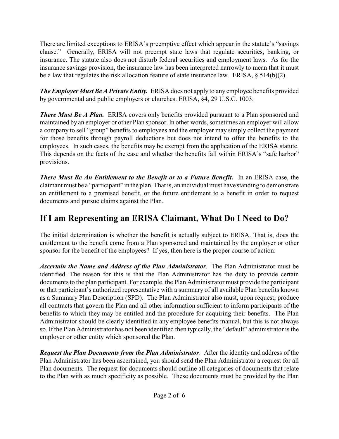There are limited exceptions to ERISA's preemptive effect which appear in the statute's "savings clause." Generally, ERISA will not preempt state laws that regulate securities, banking, or insurance. The statute also does not disturb federal securities and employment laws. As for the insurance savings provision, the insurance law has been interpreted narrowly to mean that it must be a law that regulates the risk allocation feature of state insurance law. ERISA,  $\S$  514(b)(2).

*The Employer Must Be A Private Entity.* ERISA does not apply to any employee benefits provided by governmental and public employers or churches. ERISA, §4, 29 U.S.C. 1003.

**There Must Be A Plan.** ERISA covers only benefits provided pursuant to a Plan sponsored and maintained by an employer or other Plan sponsor. In other words, sometimes an employer will allow a company to sell "group" benefits to employees and the employer may simply collect the payment for those benefits through payroll deductions but does not intend to offer the benefits to the employees. In such cases, the benefits may be exempt from the application of the ERISA statute. This depends on the facts of the case and whether the benefits fall within ERISA's "safe harbor" provisions.

*There Must Be An Entitlement to the Benefit or to a Future Benefit.* In an ERISA case, the claimant must be a "participant" in the plan. That is, an individual must have standing to demonstrate an entitlement to a promised benefit, or the future entitlement to a benefit in order to request documents and pursue claims against the Plan.

# **If I am Representing an ERISA Claimant, What Do I Need to Do?**

The initial determination is whether the benefit is actually subject to ERISA. That is, does the entitlement to the benefit come from a Plan sponsored and maintained by the employer or other sponsor for the benefit of the employees? If yes, then here is the proper course of action:

*Ascertain the Name and Address of the Plan Administrator*. The Plan Administrator must be identified. The reason for this is that the Plan Administrator has the duty to provide certain documents to the plan participant. For example, the Plan Administrator must provide the participant or that participant's authorized representative with a summary of all available Plan benefits known as a Summary Plan Description (SPD). The Plan Administrator also must, upon request, produce all contracts that govern the Plan and all other information sufficient to inform participants of the benefits to which they may be entitled and the procedure for acquiring their benefits. The Plan Administrator should be clearly identified in any employee benefits manual, but this is not always so. If the Plan Administrator has not been identified then typically, the "default" administrator is the employer or other entity which sponsored the Plan.

*Request the Plan Documents from the Plan Administrator*. After the identity and address of the Plan Administrator has been ascertained, you should send the Plan Administrator a request for all Plan documents. The request for documents should outline all categories of documents that relate to the Plan with as much specificity as possible. These documents must be provided by the Plan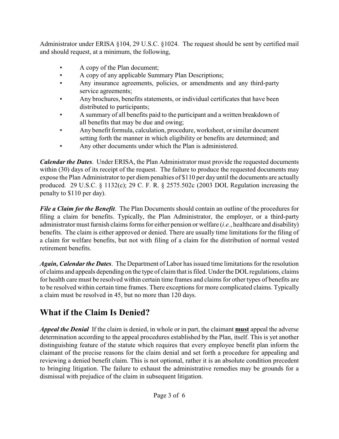Administrator under ERISA §104, 29 U.S.C. §1024. The request should be sent by certified mail and should request, at a minimum, the following,

- A copy of the Plan document;
- A copy of any applicable Summary Plan Descriptions;
- Any insurance agreements, policies, or amendments and any third-party service agreements;
- Any brochures, benefits statements, or individual certificates that have been distributed to participants;
- A summary of all benefits paid to the participant and a written breakdown of all benefits that may be due and owing;
- Any benefit formula, calculation, procedure, worksheet, or similar document setting forth the manner in which eligibility or benefits are determined; and
- Any other documents under which the Plan is administered.

*Calendar the Dates*. Under ERISA, the Plan Administrator must provide the requested documents within (30) days of its receipt of the request. The failure to produce the requested documents may expose the Plan Administrator to per diem penalties of \$110 per day until the documents are actually produced. 29 U.S.C. § 1132(c); 29 C. F. R. § 2575.502c (2003 DOL Regulation increasing the penalty to \$110 per day).

*File a Claim for the Benefit*. The Plan Documents should contain an outline of the procedures for filing a claim for benefits. Typically, the Plan Administrator, the employer, or a third-party administrator must furnish claims forms for either pension or welfare (*i.e.*, healthcare and disability) benefits. The claim is either approved or denied. There are usually time limitations for the filing of a claim for welfare benefits, but not with filing of a claim for the distribution of normal vested retirement benefits.

*Again, Calendar the Dates*. The Department of Labor has issued time limitations for the resolution of claims and appeals depending on the type of claim that is filed. Underthe DOLregulations, claims for health care must be resolved within certain time frames and claims for other types of benefits are to be resolved within certain time frames. There exceptions for more complicated claims. Typically a claim must be resolved in 45, but no more than 120 days.

# **What if the Claim Is Denied?**

*Appeal the Denial* If the claim is denied, in whole or in part, the claimant **must** appeal the adverse determination according to the appeal procedures established by the Plan, itself. This is yet another distinguishing feature of the statute which requires that every employee benefit plan inform the claimant of the precise reasons for the claim denial and set forth a procedure for appealing and reviewing a denied benefit claim. This is not optional, rather it is an absolute condition precedent to bringing litigation. The failure to exhaust the administrative remedies may be grounds for a dismissal with prejudice of the claim in subsequent litigation.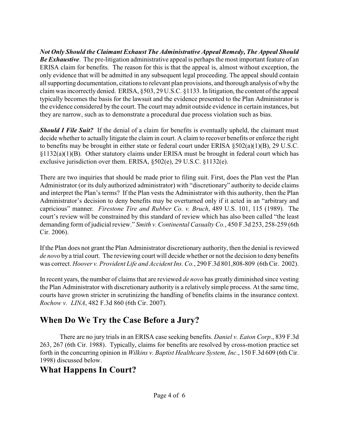*Not Only Should the Claimant Exhaust The Administrative Appeal Remedy, The Appeal Should Be Exhaustive*. The pre-litigation administrative appeal is perhaps the most important feature of an ERISA claim for benefits. The reason for this is that the appeal is, almost without exception, the only evidence that will be admitted in any subsequent legal proceeding. The appeal should contain all supporting documentation, citations to relevant plan provisions, and thorough analysis of whythe claim was incorrectly denied. ERISA, §503, 29 U.S.C. §1133. In litigation, the content of the appeal typically becomes the basis for the lawsuit and the evidence presented to the Plan Administrator is the evidence considered by the court. The court may admit outside evidence in certain instances, but they are narrow, such as to demonstrate a procedural due process violation such as bias.

*Should I File Suit?* If the denial of a claim for benefits is eventually upheld, the claimant must decide whether to actually litigate the claim in court. A claim to recover benefits or enforce the right to benefits may be brought in either state or federal court under ERISA  $\S502(a)(1)(B)$ , 29 U.S.C. §1132(a)(1)(B). Other statutory claims under ERISA must be brought in federal court which has exclusive jurisdiction over them. ERISA, §502(e), 29 U.S.C. §1132(e).

There are two inquiries that should be made prior to filing suit. First, does the Plan vest the Plan Administrator (or its duly authorized administrator) with "discretionary" authority to decide claims and interpret the Plan's terms? If the Plan vests the Administrator with this authority, then the Plan Administrator's decision to deny benefits may be overturned only if it acted in an "arbitrary and capricious" manner. *Firestone Tire and Rubber Co. v. Bruch*, 489 U.S. 101, 115 (1989). The court's review will be constrained by this standard of review which has also been called "the least demanding form of judicial review." *Smith v. Continental Casualty Co.*, 450 F.3d 253, 258-259 (6th Cir. 2006).

If the Plan does not grant the Plan Administrator discretionary authority, then the denial is reviewed *de novo* by a trial court. The reviewing court will decide whether or not the decision to deny benefits was correct. *Hoover v. Provident Life and Accident Ins. Co.*, 290 F.3d 801,808-809 (6th Cir. 2002).

In recent years, the number of claims that are reviewed *de novo* has greatly diminished since vesting the Plan Administrator with discretionary authority is a relatively simple process. At the same time, courts have grown stricter in scrutinizing the handling of benefits claims in the insurance context. *Rochow v. LINA*, 482 F.3d 860 (6th Cir. 2007).

## **When Do We Try the Case Before a Jury?**

There are no jury trials in an ERISA case seeking benefits. *Daniel v. Eaton Corp*., 839 F.3d 263, 267 (6th Cir. 1988). Typically, claims for benefits are resolved by cross-motion practice set forth in the concurring opinion in *Wilkins v. Baptist Healthcare System, Inc*., 150 F.3d 609 (6th Cir. 1998) discussed below.

## **What Happens In Court?**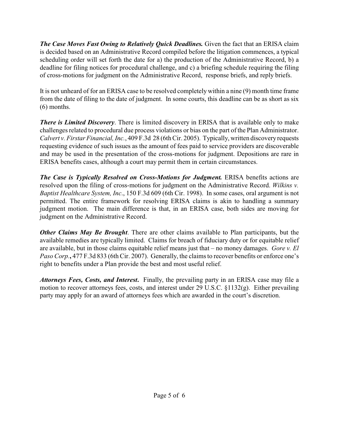*The Case Moves Fast Owing to Relatively Quick Deadlines.* Given the fact that an ERISA claim is decided based on an Administrative Record compiled before the litigation commences, a typical scheduling order will set forth the date for a) the production of the Administrative Record, b) a deadline for filing notices for procedural challenge, and c) a briefing schedule requiring the filing of cross-motions for judgment on the Administrative Record, response briefs, and reply briefs.

It is not unheard of for an ERISA case to be resolved completely within a nine (9) month time frame from the date of filing to the date of judgment. In some courts, this deadline can be as short as six (6) months.

*There is Limited Discovery*. There is limited discovery in ERISA that is available only to make challenges related to procedural due process violations or bias on the part of the Plan Administrator. *Calvert v. Firstar Financial, Inc.*, 409 F.3d 28 (6th Cir. 2005). Typically, written discoveryrequests requesting evidence of such issues as the amount of fees paid to service providers are discoverable and may be used in the presentation of the cross-motions for judgment. Depositions are rare in ERISA benefits cases, although a court may permit them in certain circumstances.

*The Case is Typically Resolved on Cross-Motions for Judgment.* ERISA benefits actions are resolved upon the filing of cross-motions for judgment on the Administrative Record. *Wilkins v. Baptist Healthcare System, Inc*., 150 F.3d 609 (6th Cir. 1998). In some cases, oral argument is not permitted. The entire framework for resolving ERISA claims is akin to handling a summary judgment motion. The main difference is that, in an ERISA case, both sides are moving for judgment on the Administrative Record.

*Other Claims May Be Brought*. There are other claims available to Plan participants, but the available remedies are typically limited. Claims for breach of fiduciary duty or for equitable relief are available, but in those claims equitable relief means just that – no money damages. *Gore v. El Paso Corp.***,** 477 F.3d 833 (6th Cir. 2007). Generally, the claims to recover benefits or enforce one's right to benefits under a Plan provide the best and most useful relief.

*Attorneys Fees, Costs, and Interest***.** Finally, the prevailing party in an ERISA case may file a motion to recover attorneys fees, costs, and interest under 29 U.S.C. §1132(g). Either prevailing party may apply for an award of attorneys fees which are awarded in the court's discretion.